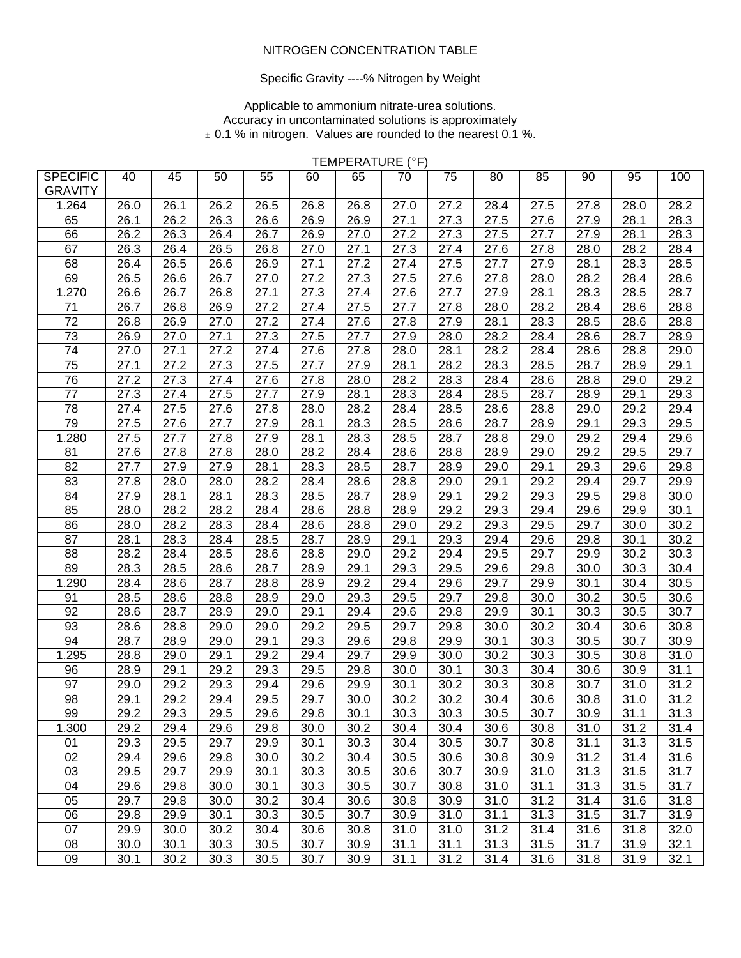## NITROGEN CONCENTRATION TABLE

## Specific Gravity ----% Nitrogen by Weight

Applicable to ammonium nitrate-urea solutions. Accuracy in uncontaminated solutions is approximately  $\pm$  0.1 % in nitrogen. Values are rounded to the nearest 0.1 %.

**SPECIFIC** GRAVITY 40 | 45 | 50 | 55 | 60 | 65 | 70 | 75 | 80 | 85 | 90 | 95 | 100 1.264 26.0 26.1 26.2 26.5 26.8 26.8 27.0 27.2 28.4 27.5 27.8 28.0 28.2 65 26.1 26.2 26.3 26.6 26.9 26.9 27.1 27.3 27.5 27.6 27.9 28.1 28.3 66 26.2 26.3 26.4 26.7 26.9 27.0 27.2 27.3 27.5 27.7 27.9 28.1 28.3 67 26.3 26.4 26.5 26.8 27.0 27.1 27.3 27.4 27.6 27.8 28.0 28.2 28.4 68 26.4 26.5 26.6 26.9 27.1 27.2 27.4 27.5 27.7 27.9 28.1 28.3 28.5 69 26.5 26.6 26.7 27.0 27.2 27.3 27.5 27.6 27.8 28.0 28.2 28.4 28.6 1.270 26.6 26.7 26.8 27.1 27.3 27.4 27.6 27.7 27.9 28.1 28.3 28.5 28.7 71 26.7 26.8 26.9 27.2 27.4 27.5 27.7 27.8 28.0 28.2 28.4 28.6 28.8 72 26.8 26.9 27.0 27.2 27.4 27.6 27.8 27.9 28.1 28.3 28.5 28.6 28.8 73 26.9 27.0 27.1 27.3 27.5 27.7 27.9 28.0 28.2 28.4 28.6 28.7 28.9 74 27.0 27.1 27.2 27.4 27.6 27.8 28.0 28.1 28.2 28.4 28.6 28.8 29.0 75 27.1 27.2 27.3 27.5 27.7 27.9 28.1 28.2 28.3 28.5 28.7 28.9 29.1 76 27.2 27.3 27.4 27.6 27.8 28.0 28.2 28.3 28.4 28.6 28.8 29.0 29.2 77 27.3 27.4 27.5 27.7 27.9 28.1 28.3 28.4 28.5 28.7 28.9 29.1 29.3 78 27.4 27.5 27.6 27.8 28.0 28.2 28.4 28.5 28.6 28.8 29.0 29.2 29.4 79 27.5 27.6 27.7 27.9 28.1 28.3 28.5 28.6 28.7 28.9 29.1 29.3 29.5 1.280 27.5 27.7 27.8 27.9 28.1 28.3 28.5 28.7 28.8 29.0 29.2 29.4 29.6 81 27.6 27.8 27.8 28.0 28.2 28.4 28.6 28.8 28.9 29.0 29.2 29.5 29.7 82 27.7 27.9 27.9 28.1 28.3 28.5 28.7 28.9 29.0 29.1 29.3 29.6 29.8 83 27.8 28.0 28.0 28.2 28.4 28.6 28.8 29.0 29.1 29.2 29.4 29.7 29.9 84 | 27.9 | 28.1 | 28.1 | 28.3 | 28.5 | 28.7 | 28.9 | 29.1 | 29.2 | 29.3 | 29.5 | 29.8 | 30.0 85 28.0 28.2 28.2 28.4 28.6 28.8 28.9 29.2 29.3 29.4 29.6 29.9 30.1 86 28.0 28.2 28.3 28.4 28.6 28.8 29.0 29.2 29.3 29.5 29.7 30.0 30.2 87 28.1 28.3 28.4 28.5 28.7 28.9 29.1 29.3 29.4 29.6 29.8 30.1 30.2 88 28.2 28.4 28.5 28.6 28.8 29.0 29.2 29.4 29.5 29.7 29.9 30.2 30.3 89 | 28.3 | 28.5 | 28.6 | 28.7 | 28.9 | 29.1 | 29.3 | 29.5 | 29.6 | 29.8 | 30.0 | 30.3 | 30.4 1.290 28.4 28.6 28.7 28.8 28.9 29.2 29.4 29.6 29.7 29.9 30.1 30.4 30.5 91 | 28.5 | 28.6 | 28.8 | 28.9 | 29.0 | 29.3 | 29.5 | 29.7 | 29.8 | 30.0 | 30.2 | 30.5 | 30.6 92 | 28.6 | 28.7 | 28.9 | 29.0 | 29.1 | 29.4 | 29.6 | 29.8 | 29.9 | 30.1 | 30.3 | 30.5 | 30.7 93 | 28.6 | 28.8 | 29.0 | 29.0 | 29.2 | 29.5 | 29.7 | 29.8 | 30.0 | 30.2 | 30.4 | 30.6 | 30.8 94 | 28.7 | 28.9 | 29.0 | 29.1 | 29.3 | 29.6 | 29.8 | 29.9 | 30.1 | 30.3 | 30.5 | 30.7 | 30.9 1.295 | 28.8 | 29.0 | 29.1 | 29.2 | 29.4 | 29.7 | 29.9 | 30.0 | 30.2 | 30.3 | 30.5 | 30.8 | 31.0 96 | 28.9 | 29.1 | 29.2 | 29.3 | 29.5 | 29.8 | 30.0 | 30.1 | 30.3 | 30.4 | 30.6 | 30.9 | 31.1 97 | 29.0 | 29.2 | 29.3 | 29.4 | 29.6 | 29.9 | 30.1 | 30.2 | 30.3 | 30.8 | 30.7 | 31.0 | 31.2 98 | 29.1 | 29.2 | 29.4 | 29.5 | 29.7 | 30.0 | 30.2 | 30.2 | 30.4 | 30.6 | 30.8 | 31.0 | 31.2 99 | 29.2 | 29.3 | 29.5 | 29.6 | 29.8 | 30.1 | 30.3 | 30.3 | 30.5 | 30.7 | 30.9 | 31.1 | 31.3 1.300 | 29.2 | 29.4 | 29.6 | 29.8 | 30.0 | 30.2 | 30.4 | 30.4 | 30.6 | 30.8 | 31.0 | 31.2 | 31.4 01 | 29.3 | 29.5 | 29.7 | 29.9 | 30.1 | 30.3 | 30.4 | 30.5 | 30.7 | 30.8 | 31.1 | 31.3 | 31.5 02 | 29.4 | 29.6 | 29.8 | 30.0 | 30.2 | 30.4 | 30.5 | 30.6 | 30.8 | 30.9 | 31.2 | 31.4 | 31.6 03 | 29.5 | 29.7 | 29.9 | 30.1 | 30.3 | 30.5 | 30.6 | 30.7 | 30.9 | 31.0 | 31.3 | 31.5 | 31.7 04 | 29.6 | 29.8 | 30.0 | 30.1 | 30.3 | 30.5 | 30.7 | 30.8 | 31.0 | 31.1 | 31.3 | 31.5 | 31.7 05 | 29.7 | 29.8 | 30.0 | 30.2 | 30.4 | 30.6 | 30.8 | 30.9 | 31.0 | 31.2 | 31.4 | 31.6 | 31.8 06 | 29.8 | 29.9 | 30.1 | 30.3 | 30.5 | 30.7 | 30.9 | 31.0 | 31.1 | 31.3 | 31.5 | 31.7 | 31.9 07 | 29.9 | 30.0 | 30.2 | 30.4 | 30.6 | 30.8 | 31.0 | 31.0 | 31.2 | 31.4 | 31.6 | 31.8 | 32.0 08 | 30.0 | 30.1 | 30.3 | 30.5 | 30.7 | 30.9 | 31.1 | 31.1 | 31.3 | 31.5 | 31.7 | 31.9 | 32.1 09 | 30.1 | 30.2 | 30.3 | 30.5 | 30.7 | 30.9 | 31.1 | 31.2 | 31.4 | 31.6 | 31.8 | 31.9 | 32.1

TEMPERATURE (°F)